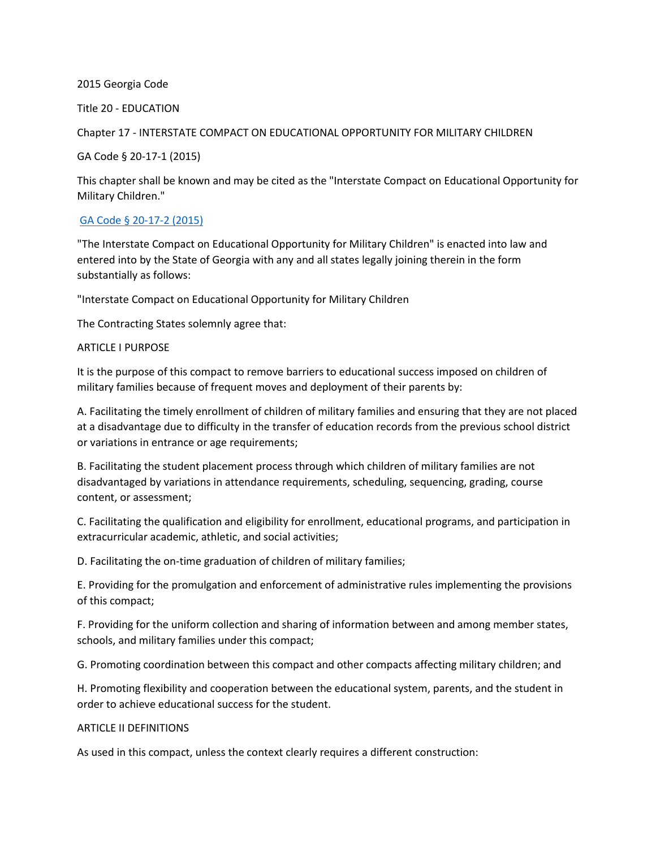2015 Georgia Code

Title 20 - EDUCATION

Chapter 17 - INTERSTATE COMPACT ON EDUCATIONAL OPPORTUNITY FOR MILITARY CHILDREN

GA Code § 20-17-1 (2015)

This chapter shall be known and may be cited as the "Interstate Compact on Educational Opportunity for Military Children."

### [GA Code § 20-17-2 \(2015\)](http://law.justia.com/citations.html)

"The Interstate Compact on Educational Opportunity for Military Children" is enacted into law and entered into by the State of Georgia with any and all states legally joining therein in the form substantially as follows:

"Interstate Compact on Educational Opportunity for Military Children

The Contracting States solemnly agree that:

#### ARTICLE I PURPOSE

It is the purpose of this compact to remove barriers to educational success imposed on children of military families because of frequent moves and deployment of their parents by:

A. Facilitating the timely enrollment of children of military families and ensuring that they are not placed at a disadvantage due to difficulty in the transfer of education records from the previous school district or variations in entrance or age requirements;

B. Facilitating the student placement process through which children of military families are not disadvantaged by variations in attendance requirements, scheduling, sequencing, grading, course content, or assessment;

C. Facilitating the qualification and eligibility for enrollment, educational programs, and participation in extracurricular academic, athletic, and social activities;

D. Facilitating the on-time graduation of children of military families;

E. Providing for the promulgation and enforcement of administrative rules implementing the provisions of this compact;

F. Providing for the uniform collection and sharing of information between and among member states, schools, and military families under this compact;

G. Promoting coordination between this compact and other compacts affecting military children; and

H. Promoting flexibility and cooperation between the educational system, parents, and the student in order to achieve educational success for the student.

#### ARTICLE II DEFINITIONS

As used in this compact, unless the context clearly requires a different construction: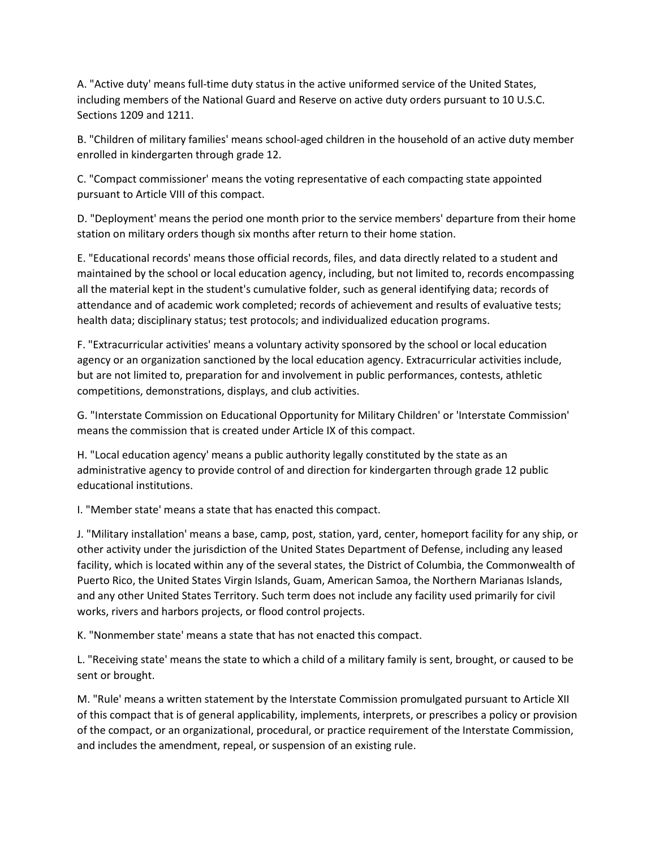A. "Active duty' means full-time duty status in the active uniformed service of the United States, including members of the National Guard and Reserve on active duty orders pursuant to 10 U.S.C. Sections 1209 and 1211.

B. "Children of military families' means school-aged children in the household of an active duty member enrolled in kindergarten through grade 12.

C. "Compact commissioner' means the voting representative of each compacting state appointed pursuant to Article VIII of this compact.

D. "Deployment' means the period one month prior to the service members' departure from their home station on military orders though six months after return to their home station.

E. "Educational records' means those official records, files, and data directly related to a student and maintained by the school or local education agency, including, but not limited to, records encompassing all the material kept in the student's cumulative folder, such as general identifying data; records of attendance and of academic work completed; records of achievement and results of evaluative tests; health data; disciplinary status; test protocols; and individualized education programs.

F. "Extracurricular activities' means a voluntary activity sponsored by the school or local education agency or an organization sanctioned by the local education agency. Extracurricular activities include, but are not limited to, preparation for and involvement in public performances, contests, athletic competitions, demonstrations, displays, and club activities.

G. "Interstate Commission on Educational Opportunity for Military Children' or 'Interstate Commission' means the commission that is created under Article IX of this compact.

H. "Local education agency' means a public authority legally constituted by the state as an administrative agency to provide control of and direction for kindergarten through grade 12 public educational institutions.

I. "Member state' means a state that has enacted this compact.

J. "Military installation' means a base, camp, post, station, yard, center, homeport facility for any ship, or other activity under the jurisdiction of the United States Department of Defense, including any leased facility, which is located within any of the several states, the District of Columbia, the Commonwealth of Puerto Rico, the United States Virgin Islands, Guam, American Samoa, the Northern Marianas Islands, and any other United States Territory. Such term does not include any facility used primarily for civil works, rivers and harbors projects, or flood control projects.

K. "Nonmember state' means a state that has not enacted this compact.

L. "Receiving state' means the state to which a child of a military family is sent, brought, or caused to be sent or brought.

M. "Rule' means a written statement by the Interstate Commission promulgated pursuant to Article XII of this compact that is of general applicability, implements, interprets, or prescribes a policy or provision of the compact, or an organizational, procedural, or practice requirement of the Interstate Commission, and includes the amendment, repeal, or suspension of an existing rule.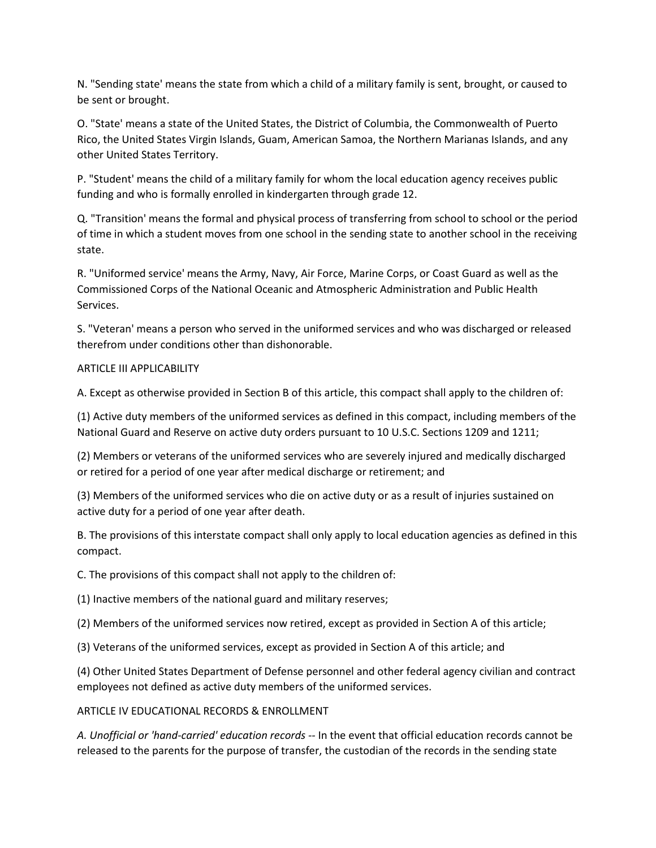N. "Sending state' means the state from which a child of a military family is sent, brought, or caused to be sent or brought.

O. "State' means a state of the United States, the District of Columbia, the Commonwealth of Puerto Rico, the United States Virgin Islands, Guam, American Samoa, the Northern Marianas Islands, and any other United States Territory.

P. "Student' means the child of a military family for whom the local education agency receives public funding and who is formally enrolled in kindergarten through grade 12.

Q. "Transition' means the formal and physical process of transferring from school to school or the period of time in which a student moves from one school in the sending state to another school in the receiving state.

R. "Uniformed service' means the Army, Navy, Air Force, Marine Corps, or Coast Guard as well as the Commissioned Corps of the National Oceanic and Atmospheric Administration and Public Health Services.

S. "Veteran' means a person who served in the uniformed services and who was discharged or released therefrom under conditions other than dishonorable.

#### ARTICLE III APPLICABILITY

A. Except as otherwise provided in Section B of this article, this compact shall apply to the children of:

(1) Active duty members of the uniformed services as defined in this compact, including members of the National Guard and Reserve on active duty orders pursuant to 10 U.S.C. Sections 1209 and 1211;

(2) Members or veterans of the uniformed services who are severely injured and medically discharged or retired for a period of one year after medical discharge or retirement; and

(3) Members of the uniformed services who die on active duty or as a result of injuries sustained on active duty for a period of one year after death.

B. The provisions of this interstate compact shall only apply to local education agencies as defined in this compact.

C. The provisions of this compact shall not apply to the children of:

(1) Inactive members of the national guard and military reserves;

(2) Members of the uniformed services now retired, except as provided in Section A of this article;

(3) Veterans of the uniformed services, except as provided in Section A of this article; and

(4) Other United States Department of Defense personnel and other federal agency civilian and contract employees not defined as active duty members of the uniformed services.

#### ARTICLE IV EDUCATIONAL RECORDS & ENROLLMENT

*A. Unofficial or 'hand-carried' education records --* In the event that official education records cannot be released to the parents for the purpose of transfer, the custodian of the records in the sending state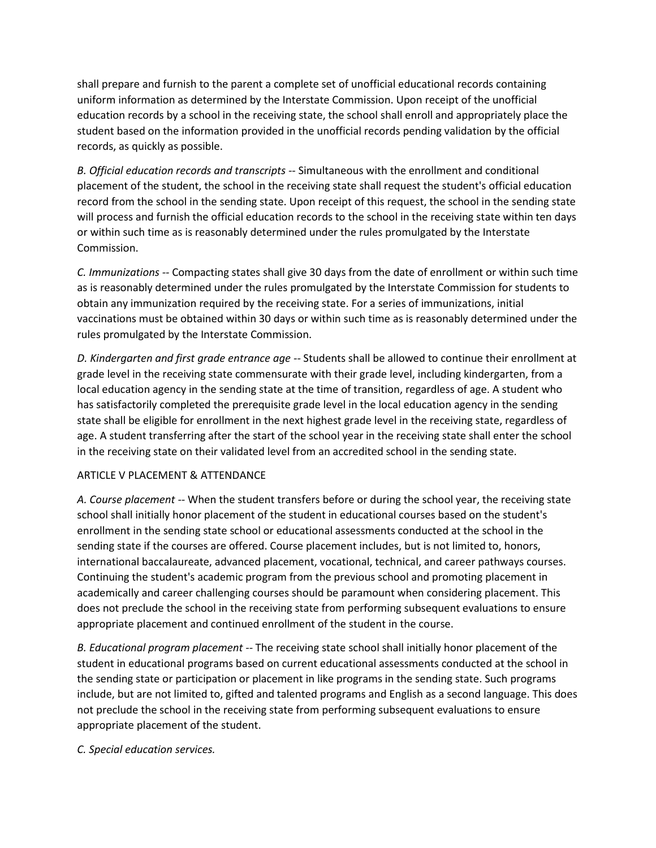shall prepare and furnish to the parent a complete set of unofficial educational records containing uniform information as determined by the Interstate Commission. Upon receipt of the unofficial education records by a school in the receiving state, the school shall enroll and appropriately place the student based on the information provided in the unofficial records pending validation by the official records, as quickly as possible.

*B. Official education records and transcripts --* Simultaneous with the enrollment and conditional placement of the student, the school in the receiving state shall request the student's official education record from the school in the sending state. Upon receipt of this request, the school in the sending state will process and furnish the official education records to the school in the receiving state within ten days or within such time as is reasonably determined under the rules promulgated by the Interstate Commission.

*C. Immunizations --* Compacting states shall give 30 days from the date of enrollment or within such time as is reasonably determined under the rules promulgated by the Interstate Commission for students to obtain any immunization required by the receiving state. For a series of immunizations, initial vaccinations must be obtained within 30 days or within such time as is reasonably determined under the rules promulgated by the Interstate Commission.

*D. Kindergarten and first grade entrance age --* Students shall be allowed to continue their enrollment at grade level in the receiving state commensurate with their grade level, including kindergarten, from a local education agency in the sending state at the time of transition, regardless of age. A student who has satisfactorily completed the prerequisite grade level in the local education agency in the sending state shall be eligible for enrollment in the next highest grade level in the receiving state, regardless of age. A student transferring after the start of the school year in the receiving state shall enter the school in the receiving state on their validated level from an accredited school in the sending state.

# ARTICLE V PLACEMENT & ATTENDANCE

*A. Course placement --* When the student transfers before or during the school year, the receiving state school shall initially honor placement of the student in educational courses based on the student's enrollment in the sending state school or educational assessments conducted at the school in the sending state if the courses are offered. Course placement includes, but is not limited to, honors, international baccalaureate, advanced placement, vocational, technical, and career pathways courses. Continuing the student's academic program from the previous school and promoting placement in academically and career challenging courses should be paramount when considering placement. This does not preclude the school in the receiving state from performing subsequent evaluations to ensure appropriate placement and continued enrollment of the student in the course.

*B. Educational program placement --* The receiving state school shall initially honor placement of the student in educational programs based on current educational assessments conducted at the school in the sending state or participation or placement in like programs in the sending state. Such programs include, but are not limited to, gifted and talented programs and English as a second language. This does not preclude the school in the receiving state from performing subsequent evaluations to ensure appropriate placement of the student.

*C. Special education services.*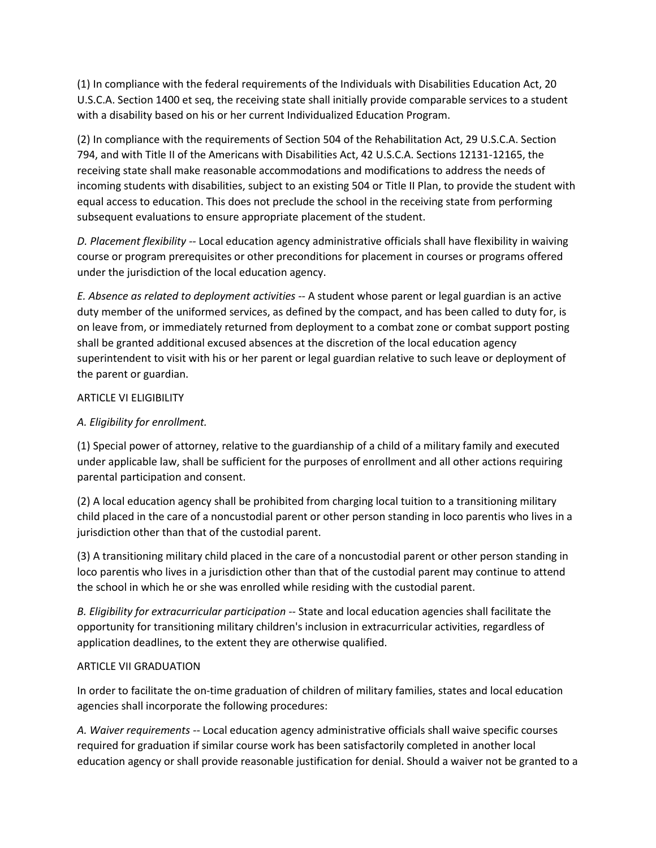(1) In compliance with the federal requirements of the Individuals with Disabilities Education Act, 20 U.S.C.A. Section 1400 et seq, the receiving state shall initially provide comparable services to a student with a disability based on his or her current Individualized Education Program.

(2) In compliance with the requirements of Section 504 of the Rehabilitation Act, 29 U.S.C.A. Section 794, and with Title II of the Americans with Disabilities Act, 42 U.S.C.A. Sections 12131-12165, the receiving state shall make reasonable accommodations and modifications to address the needs of incoming students with disabilities, subject to an existing 504 or Title II Plan, to provide the student with equal access to education. This does not preclude the school in the receiving state from performing subsequent evaluations to ensure appropriate placement of the student.

*D. Placement flexibility --* Local education agency administrative officials shall have flexibility in waiving course or program prerequisites or other preconditions for placement in courses or programs offered under the jurisdiction of the local education agency.

*E. Absence as related to deployment activities --* A student whose parent or legal guardian is an active duty member of the uniformed services, as defined by the compact, and has been called to duty for, is on leave from, or immediately returned from deployment to a combat zone or combat support posting shall be granted additional excused absences at the discretion of the local education agency superintendent to visit with his or her parent or legal guardian relative to such leave or deployment of the parent or guardian.

## ARTICLE VI ELIGIBILITY

# *A. Eligibility for enrollment.*

(1) Special power of attorney, relative to the guardianship of a child of a military family and executed under applicable law, shall be sufficient for the purposes of enrollment and all other actions requiring parental participation and consent.

(2) A local education agency shall be prohibited from charging local tuition to a transitioning military child placed in the care of a noncustodial parent or other person standing in loco parentis who lives in a jurisdiction other than that of the custodial parent.

(3) A transitioning military child placed in the care of a noncustodial parent or other person standing in loco parentis who lives in a jurisdiction other than that of the custodial parent may continue to attend the school in which he or she was enrolled while residing with the custodial parent.

*B. Eligibility for extracurricular participation --* State and local education agencies shall facilitate the opportunity for transitioning military children's inclusion in extracurricular activities, regardless of application deadlines, to the extent they are otherwise qualified.

# ARTICLE VII GRADUATION

In order to facilitate the on-time graduation of children of military families, states and local education agencies shall incorporate the following procedures:

*A. Waiver requirements --* Local education agency administrative officials shall waive specific courses required for graduation if similar course work has been satisfactorily completed in another local education agency or shall provide reasonable justification for denial. Should a waiver not be granted to a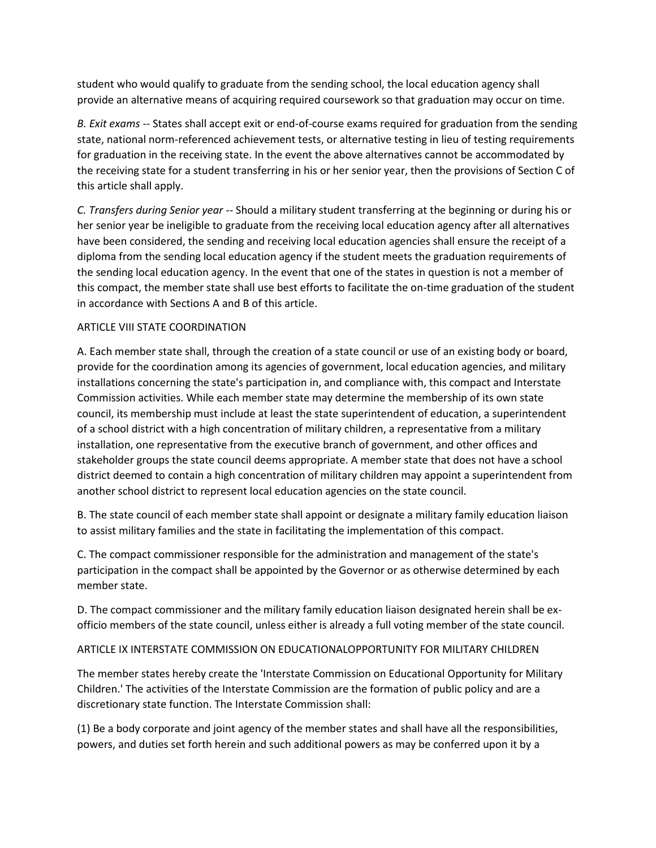student who would qualify to graduate from the sending school, the local education agency shall provide an alternative means of acquiring required coursework so that graduation may occur on time.

*B. Exit exams --* States shall accept exit or end-of-course exams required for graduation from the sending state, national norm-referenced achievement tests, or alternative testing in lieu of testing requirements for graduation in the receiving state. In the event the above alternatives cannot be accommodated by the receiving state for a student transferring in his or her senior year, then the provisions of Section C of this article shall apply.

*C. Transfers during Senior year --* Should a military student transferring at the beginning or during his or her senior year be ineligible to graduate from the receiving local education agency after all alternatives have been considered, the sending and receiving local education agencies shall ensure the receipt of a diploma from the sending local education agency if the student meets the graduation requirements of the sending local education agency. In the event that one of the states in question is not a member of this compact, the member state shall use best efforts to facilitate the on-time graduation of the student in accordance with Sections A and B of this article.

## ARTICLE VIII STATE COORDINATION

A. Each member state shall, through the creation of a state council or use of an existing body or board, provide for the coordination among its agencies of government, local education agencies, and military installations concerning the state's participation in, and compliance with, this compact and Interstate Commission activities. While each member state may determine the membership of its own state council, its membership must include at least the state superintendent of education, a superintendent of a school district with a high concentration of military children, a representative from a military installation, one representative from the executive branch of government, and other offices and stakeholder groups the state council deems appropriate. A member state that does not have a school district deemed to contain a high concentration of military children may appoint a superintendent from another school district to represent local education agencies on the state council.

B. The state council of each member state shall appoint or designate a military family education liaison to assist military families and the state in facilitating the implementation of this compact.

C. The compact commissioner responsible for the administration and management of the state's participation in the compact shall be appointed by the Governor or as otherwise determined by each member state.

D. The compact commissioner and the military family education liaison designated herein shall be exofficio members of the state council, unless either is already a full voting member of the state council.

# ARTICLE IX INTERSTATE COMMISSION ON EDUCATIONALOPPORTUNITY FOR MILITARY CHILDREN

The member states hereby create the 'Interstate Commission on Educational Opportunity for Military Children.' The activities of the Interstate Commission are the formation of public policy and are a discretionary state function. The Interstate Commission shall:

(1) Be a body corporate and joint agency of the member states and shall have all the responsibilities, powers, and duties set forth herein and such additional powers as may be conferred upon it by a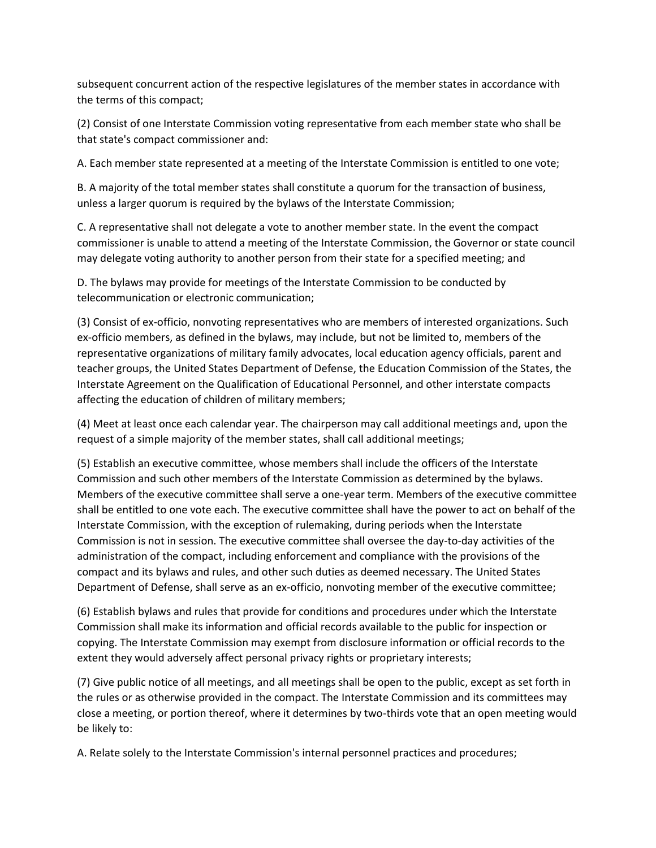subsequent concurrent action of the respective legislatures of the member states in accordance with the terms of this compact;

(2) Consist of one Interstate Commission voting representative from each member state who shall be that state's compact commissioner and:

A. Each member state represented at a meeting of the Interstate Commission is entitled to one vote;

B. A majority of the total member states shall constitute a quorum for the transaction of business, unless a larger quorum is required by the bylaws of the Interstate Commission;

C. A representative shall not delegate a vote to another member state. In the event the compact commissioner is unable to attend a meeting of the Interstate Commission, the Governor or state council may delegate voting authority to another person from their state for a specified meeting; and

D. The bylaws may provide for meetings of the Interstate Commission to be conducted by telecommunication or electronic communication;

(3) Consist of ex-officio, nonvoting representatives who are members of interested organizations. Such ex-officio members, as defined in the bylaws, may include, but not be limited to, members of the representative organizations of military family advocates, local education agency officials, parent and teacher groups, the United States Department of Defense, the Education Commission of the States, the Interstate Agreement on the Qualification of Educational Personnel, and other interstate compacts affecting the education of children of military members;

(4) Meet at least once each calendar year. The chairperson may call additional meetings and, upon the request of a simple majority of the member states, shall call additional meetings;

(5) Establish an executive committee, whose members shall include the officers of the Interstate Commission and such other members of the Interstate Commission as determined by the bylaws. Members of the executive committee shall serve a one-year term. Members of the executive committee shall be entitled to one vote each. The executive committee shall have the power to act on behalf of the Interstate Commission, with the exception of rulemaking, during periods when the Interstate Commission is not in session. The executive committee shall oversee the day-to-day activities of the administration of the compact, including enforcement and compliance with the provisions of the compact and its bylaws and rules, and other such duties as deemed necessary. The United States Department of Defense, shall serve as an ex-officio, nonvoting member of the executive committee;

(6) Establish bylaws and rules that provide for conditions and procedures under which the Interstate Commission shall make its information and official records available to the public for inspection or copying. The Interstate Commission may exempt from disclosure information or official records to the extent they would adversely affect personal privacy rights or proprietary interests;

(7) Give public notice of all meetings, and all meetings shall be open to the public, except as set forth in the rules or as otherwise provided in the compact. The Interstate Commission and its committees may close a meeting, or portion thereof, where it determines by two-thirds vote that an open meeting would be likely to:

A. Relate solely to the Interstate Commission's internal personnel practices and procedures;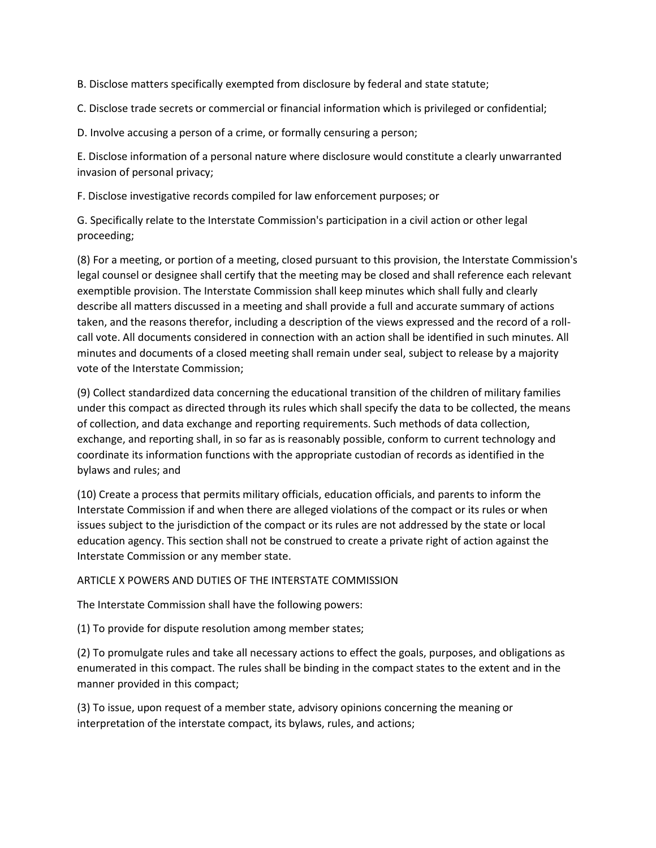B. Disclose matters specifically exempted from disclosure by federal and state statute;

C. Disclose trade secrets or commercial or financial information which is privileged or confidential;

D. Involve accusing a person of a crime, or formally censuring a person;

E. Disclose information of a personal nature where disclosure would constitute a clearly unwarranted invasion of personal privacy;

F. Disclose investigative records compiled for law enforcement purposes; or

G. Specifically relate to the Interstate Commission's participation in a civil action or other legal proceeding;

(8) For a meeting, or portion of a meeting, closed pursuant to this provision, the Interstate Commission's legal counsel or designee shall certify that the meeting may be closed and shall reference each relevant exemptible provision. The Interstate Commission shall keep minutes which shall fully and clearly describe all matters discussed in a meeting and shall provide a full and accurate summary of actions taken, and the reasons therefor, including a description of the views expressed and the record of a rollcall vote. All documents considered in connection with an action shall be identified in such minutes. All minutes and documents of a closed meeting shall remain under seal, subject to release by a majority vote of the Interstate Commission;

(9) Collect standardized data concerning the educational transition of the children of military families under this compact as directed through its rules which shall specify the data to be collected, the means of collection, and data exchange and reporting requirements. Such methods of data collection, exchange, and reporting shall, in so far as is reasonably possible, conform to current technology and coordinate its information functions with the appropriate custodian of records as identified in the bylaws and rules; and

(10) Create a process that permits military officials, education officials, and parents to inform the Interstate Commission if and when there are alleged violations of the compact or its rules or when issues subject to the jurisdiction of the compact or its rules are not addressed by the state or local education agency. This section shall not be construed to create a private right of action against the Interstate Commission or any member state.

### ARTICLE X POWERS AND DUTIES OF THE INTERSTATE COMMISSION

The Interstate Commission shall have the following powers:

(1) To provide for dispute resolution among member states;

(2) To promulgate rules and take all necessary actions to effect the goals, purposes, and obligations as enumerated in this compact. The rules shall be binding in the compact states to the extent and in the manner provided in this compact;

(3) To issue, upon request of a member state, advisory opinions concerning the meaning or interpretation of the interstate compact, its bylaws, rules, and actions;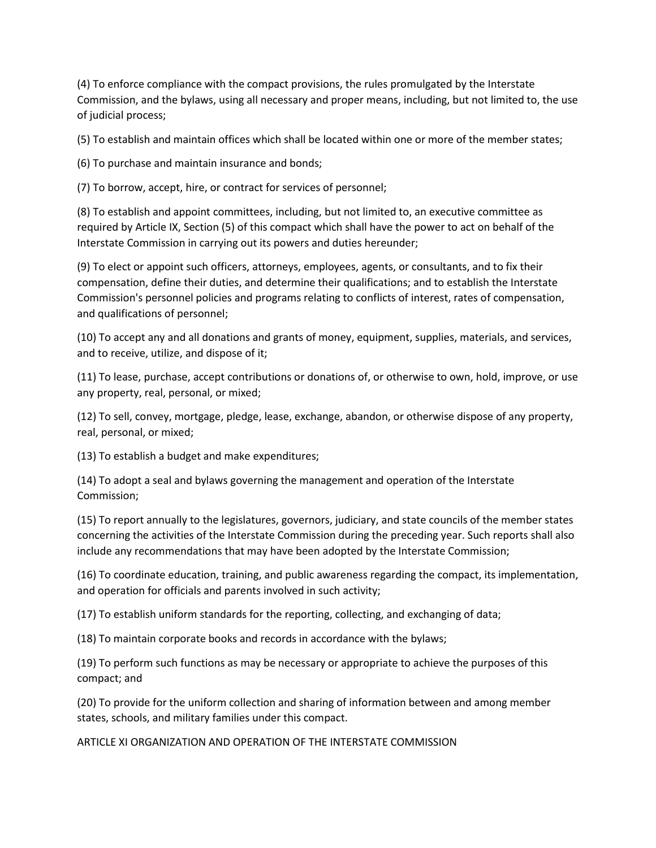(4) To enforce compliance with the compact provisions, the rules promulgated by the Interstate Commission, and the bylaws, using all necessary and proper means, including, but not limited to, the use of judicial process;

(5) To establish and maintain offices which shall be located within one or more of the member states;

(6) To purchase and maintain insurance and bonds;

(7) To borrow, accept, hire, or contract for services of personnel;

(8) To establish and appoint committees, including, but not limited to, an executive committee as required by Article IX, Section (5) of this compact which shall have the power to act on behalf of the Interstate Commission in carrying out its powers and duties hereunder;

(9) To elect or appoint such officers, attorneys, employees, agents, or consultants, and to fix their compensation, define their duties, and determine their qualifications; and to establish the Interstate Commission's personnel policies and programs relating to conflicts of interest, rates of compensation, and qualifications of personnel;

(10) To accept any and all donations and grants of money, equipment, supplies, materials, and services, and to receive, utilize, and dispose of it;

(11) To lease, purchase, accept contributions or donations of, or otherwise to own, hold, improve, or use any property, real, personal, or mixed;

(12) To sell, convey, mortgage, pledge, lease, exchange, abandon, or otherwise dispose of any property, real, personal, or mixed;

(13) To establish a budget and make expenditures;

(14) To adopt a seal and bylaws governing the management and operation of the Interstate Commission;

(15) To report annually to the legislatures, governors, judiciary, and state councils of the member states concerning the activities of the Interstate Commission during the preceding year. Such reports shall also include any recommendations that may have been adopted by the Interstate Commission;

(16) To coordinate education, training, and public awareness regarding the compact, its implementation, and operation for officials and parents involved in such activity;

(17) To establish uniform standards for the reporting, collecting, and exchanging of data;

(18) To maintain corporate books and records in accordance with the bylaws;

(19) To perform such functions as may be necessary or appropriate to achieve the purposes of this compact; and

(20) To provide for the uniform collection and sharing of information between and among member states, schools, and military families under this compact.

ARTICLE XI ORGANIZATION AND OPERATION OF THE INTERSTATE COMMISSION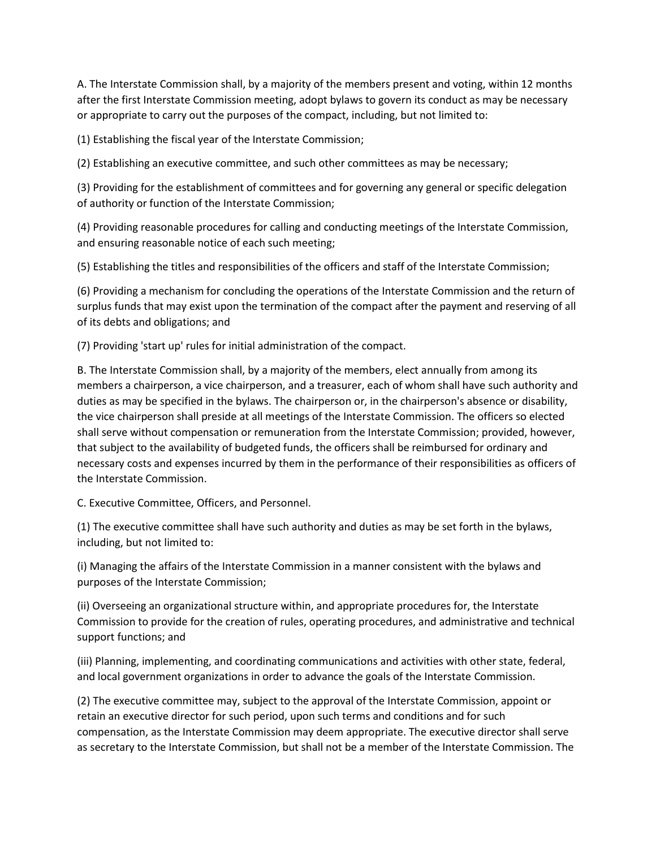A. The Interstate Commission shall, by a majority of the members present and voting, within 12 months after the first Interstate Commission meeting, adopt bylaws to govern its conduct as may be necessary or appropriate to carry out the purposes of the compact, including, but not limited to:

(1) Establishing the fiscal year of the Interstate Commission;

(2) Establishing an executive committee, and such other committees as may be necessary;

(3) Providing for the establishment of committees and for governing any general or specific delegation of authority or function of the Interstate Commission;

(4) Providing reasonable procedures for calling and conducting meetings of the Interstate Commission, and ensuring reasonable notice of each such meeting;

(5) Establishing the titles and responsibilities of the officers and staff of the Interstate Commission;

(6) Providing a mechanism for concluding the operations of the Interstate Commission and the return of surplus funds that may exist upon the termination of the compact after the payment and reserving of all of its debts and obligations; and

(7) Providing 'start up' rules for initial administration of the compact.

B. The Interstate Commission shall, by a majority of the members, elect annually from among its members a chairperson, a vice chairperson, and a treasurer, each of whom shall have such authority and duties as may be specified in the bylaws. The chairperson or, in the chairperson's absence or disability, the vice chairperson shall preside at all meetings of the Interstate Commission. The officers so elected shall serve without compensation or remuneration from the Interstate Commission; provided, however, that subject to the availability of budgeted funds, the officers shall be reimbursed for ordinary and necessary costs and expenses incurred by them in the performance of their responsibilities as officers of the Interstate Commission.

C. Executive Committee, Officers, and Personnel.

(1) The executive committee shall have such authority and duties as may be set forth in the bylaws, including, but not limited to:

(i) Managing the affairs of the Interstate Commission in a manner consistent with the bylaws and purposes of the Interstate Commission;

(ii) Overseeing an organizational structure within, and appropriate procedures for, the Interstate Commission to provide for the creation of rules, operating procedures, and administrative and technical support functions; and

(iii) Planning, implementing, and coordinating communications and activities with other state, federal, and local government organizations in order to advance the goals of the Interstate Commission.

(2) The executive committee may, subject to the approval of the Interstate Commission, appoint or retain an executive director for such period, upon such terms and conditions and for such compensation, as the Interstate Commission may deem appropriate. The executive director shall serve as secretary to the Interstate Commission, but shall not be a member of the Interstate Commission. The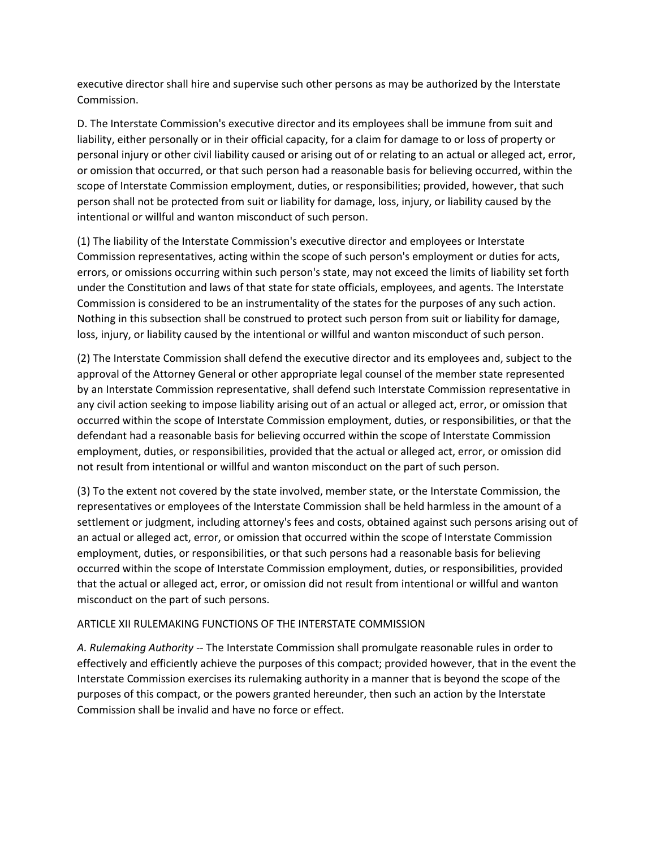executive director shall hire and supervise such other persons as may be authorized by the Interstate Commission.

D. The Interstate Commission's executive director and its employees shall be immune from suit and liability, either personally or in their official capacity, for a claim for damage to or loss of property or personal injury or other civil liability caused or arising out of or relating to an actual or alleged act, error, or omission that occurred, or that such person had a reasonable basis for believing occurred, within the scope of Interstate Commission employment, duties, or responsibilities; provided, however, that such person shall not be protected from suit or liability for damage, loss, injury, or liability caused by the intentional or willful and wanton misconduct of such person.

(1) The liability of the Interstate Commission's executive director and employees or Interstate Commission representatives, acting within the scope of such person's employment or duties for acts, errors, or omissions occurring within such person's state, may not exceed the limits of liability set forth under the Constitution and laws of that state for state officials, employees, and agents. The Interstate Commission is considered to be an instrumentality of the states for the purposes of any such action. Nothing in this subsection shall be construed to protect such person from suit or liability for damage, loss, injury, or liability caused by the intentional or willful and wanton misconduct of such person.

(2) The Interstate Commission shall defend the executive director and its employees and, subject to the approval of the Attorney General or other appropriate legal counsel of the member state represented by an Interstate Commission representative, shall defend such Interstate Commission representative in any civil action seeking to impose liability arising out of an actual or alleged act, error, or omission that occurred within the scope of Interstate Commission employment, duties, or responsibilities, or that the defendant had a reasonable basis for believing occurred within the scope of Interstate Commission employment, duties, or responsibilities, provided that the actual or alleged act, error, or omission did not result from intentional or willful and wanton misconduct on the part of such person.

(3) To the extent not covered by the state involved, member state, or the Interstate Commission, the representatives or employees of the Interstate Commission shall be held harmless in the amount of a settlement or judgment, including attorney's fees and costs, obtained against such persons arising out of an actual or alleged act, error, or omission that occurred within the scope of Interstate Commission employment, duties, or responsibilities, or that such persons had a reasonable basis for believing occurred within the scope of Interstate Commission employment, duties, or responsibilities, provided that the actual or alleged act, error, or omission did not result from intentional or willful and wanton misconduct on the part of such persons.

### ARTICLE XII RULEMAKING FUNCTIONS OF THE INTERSTATE COMMISSION

*A. Rulemaking Authority --* The Interstate Commission shall promulgate reasonable rules in order to effectively and efficiently achieve the purposes of this compact; provided however, that in the event the Interstate Commission exercises its rulemaking authority in a manner that is beyond the scope of the purposes of this compact, or the powers granted hereunder, then such an action by the Interstate Commission shall be invalid and have no force or effect.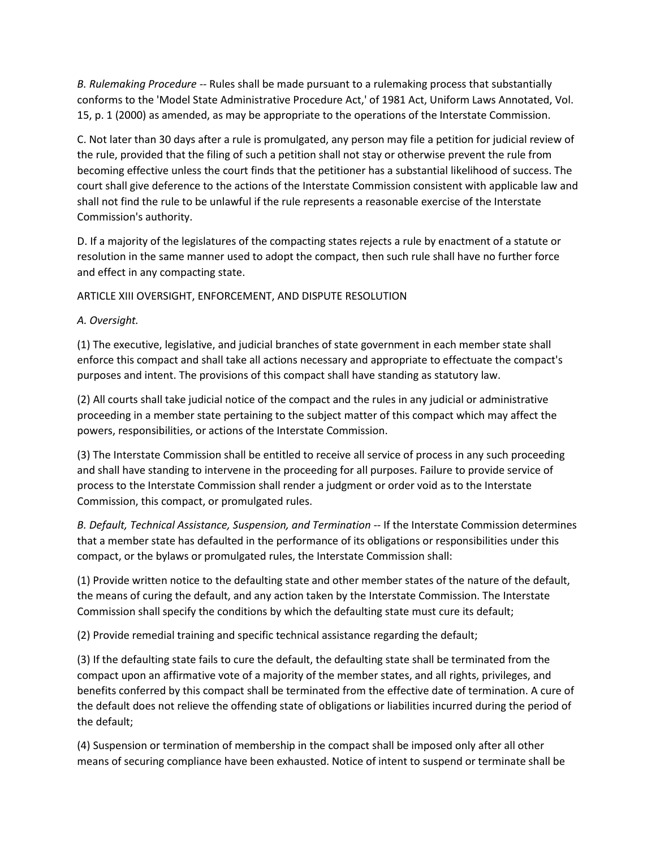*B. Rulemaking Procedure --* Rules shall be made pursuant to a rulemaking process that substantially conforms to the 'Model State Administrative Procedure Act,' of 1981 Act, Uniform Laws Annotated, Vol. 15, p. 1 (2000) as amended, as may be appropriate to the operations of the Interstate Commission.

C. Not later than 30 days after a rule is promulgated, any person may file a petition for judicial review of the rule, provided that the filing of such a petition shall not stay or otherwise prevent the rule from becoming effective unless the court finds that the petitioner has a substantial likelihood of success. The court shall give deference to the actions of the Interstate Commission consistent with applicable law and shall not find the rule to be unlawful if the rule represents a reasonable exercise of the Interstate Commission's authority.

D. If a majority of the legislatures of the compacting states rejects a rule by enactment of a statute or resolution in the same manner used to adopt the compact, then such rule shall have no further force and effect in any compacting state.

## ARTICLE XIII OVERSIGHT, ENFORCEMENT, AND DISPUTE RESOLUTION

*A. Oversight.*

(1) The executive, legislative, and judicial branches of state government in each member state shall enforce this compact and shall take all actions necessary and appropriate to effectuate the compact's purposes and intent. The provisions of this compact shall have standing as statutory law.

(2) All courts shall take judicial notice of the compact and the rules in any judicial or administrative proceeding in a member state pertaining to the subject matter of this compact which may affect the powers, responsibilities, or actions of the Interstate Commission.

(3) The Interstate Commission shall be entitled to receive all service of process in any such proceeding and shall have standing to intervene in the proceeding for all purposes. Failure to provide service of process to the Interstate Commission shall render a judgment or order void as to the Interstate Commission, this compact, or promulgated rules.

*B. Default, Technical Assistance, Suspension, and Termination --* If the Interstate Commission determines that a member state has defaulted in the performance of its obligations or responsibilities under this compact, or the bylaws or promulgated rules, the Interstate Commission shall:

(1) Provide written notice to the defaulting state and other member states of the nature of the default, the means of curing the default, and any action taken by the Interstate Commission. The Interstate Commission shall specify the conditions by which the defaulting state must cure its default;

(2) Provide remedial training and specific technical assistance regarding the default;

(3) If the defaulting state fails to cure the default, the defaulting state shall be terminated from the compact upon an affirmative vote of a majority of the member states, and all rights, privileges, and benefits conferred by this compact shall be terminated from the effective date of termination. A cure of the default does not relieve the offending state of obligations or liabilities incurred during the period of the default;

(4) Suspension or termination of membership in the compact shall be imposed only after all other means of securing compliance have been exhausted. Notice of intent to suspend or terminate shall be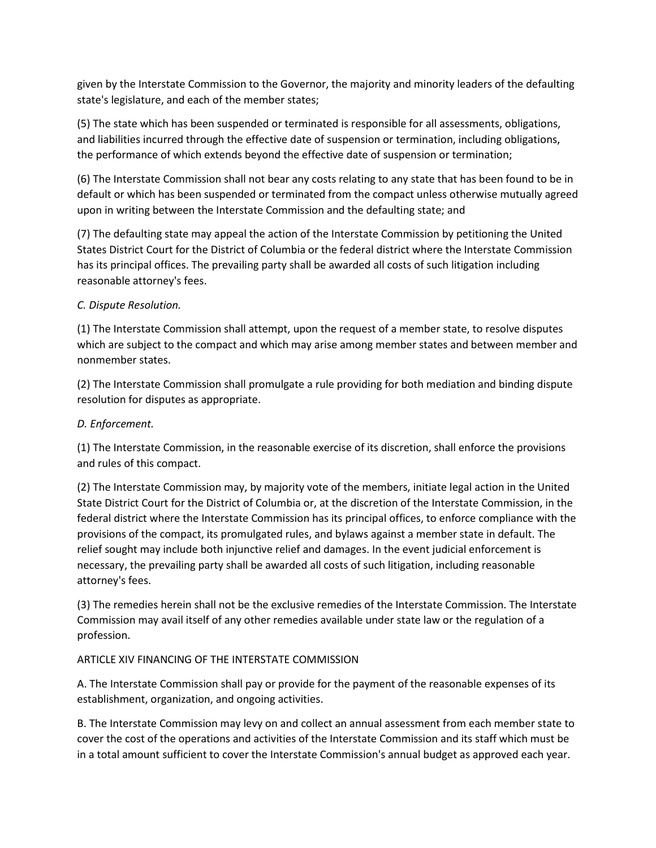given by the Interstate Commission to the Governor, the majority and minority leaders of the defaulting state's legislature, and each of the member states;

(5) The state which has been suspended or terminated is responsible for all assessments, obligations, and liabilities incurred through the effective date of suspension or termination, including obligations, the performance of which extends beyond the effective date of suspension or termination;

(6) The Interstate Commission shall not bear any costs relating to any state that has been found to be in default or which has been suspended or terminated from the compact unless otherwise mutually agreed upon in writing between the Interstate Commission and the defaulting state; and

(7) The defaulting state may appeal the action of the Interstate Commission by petitioning the United States District Court for the District of Columbia or the federal district where the Interstate Commission has its principal offices. The prevailing party shall be awarded all costs of such litigation including reasonable attorney's fees.

## *C. Dispute Resolution.*

(1) The Interstate Commission shall attempt, upon the request of a member state, to resolve disputes which are subject to the compact and which may arise among member states and between member and nonmember states.

(2) The Interstate Commission shall promulgate a rule providing for both mediation and binding dispute resolution for disputes as appropriate.

## *D. Enforcement.*

(1) The Interstate Commission, in the reasonable exercise of its discretion, shall enforce the provisions and rules of this compact.

(2) The Interstate Commission may, by majority vote of the members, initiate legal action in the United State District Court for the District of Columbia or, at the discretion of the Interstate Commission, in the federal district where the Interstate Commission has its principal offices, to enforce compliance with the provisions of the compact, its promulgated rules, and bylaws against a member state in default. The relief sought may include both injunctive relief and damages. In the event judicial enforcement is necessary, the prevailing party shall be awarded all costs of such litigation, including reasonable attorney's fees.

(3) The remedies herein shall not be the exclusive remedies of the Interstate Commission. The Interstate Commission may avail itself of any other remedies available under state law or the regulation of a profession.

# ARTICLE XIV FINANCING OF THE INTERSTATE COMMISSION

A. The Interstate Commission shall pay or provide for the payment of the reasonable expenses of its establishment, organization, and ongoing activities.

B. The Interstate Commission may levy on and collect an annual assessment from each member state to cover the cost of the operations and activities of the Interstate Commission and its staff which must be in a total amount sufficient to cover the Interstate Commission's annual budget as approved each year.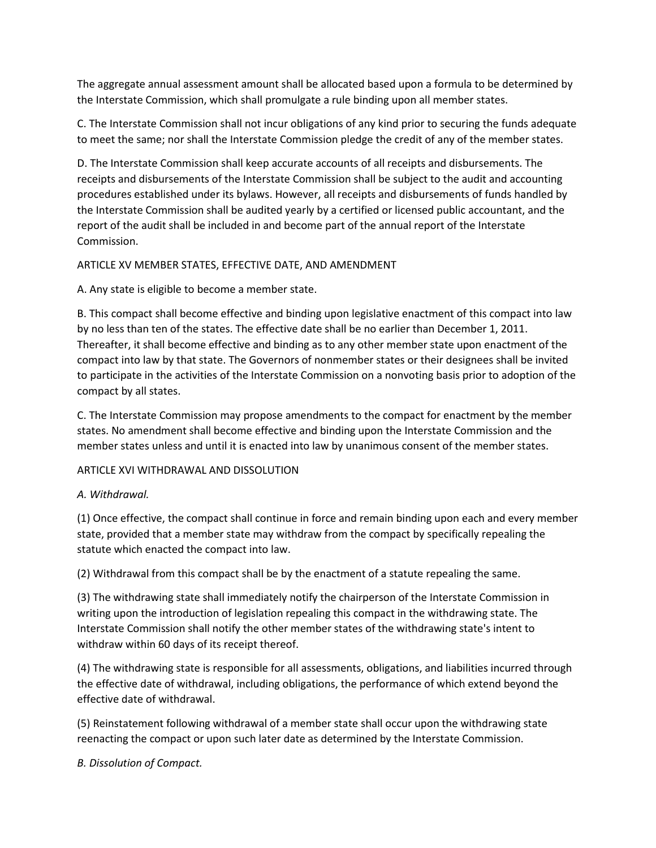The aggregate annual assessment amount shall be allocated based upon a formula to be determined by the Interstate Commission, which shall promulgate a rule binding upon all member states.

C. The Interstate Commission shall not incur obligations of any kind prior to securing the funds adequate to meet the same; nor shall the Interstate Commission pledge the credit of any of the member states.

D. The Interstate Commission shall keep accurate accounts of all receipts and disbursements. The receipts and disbursements of the Interstate Commission shall be subject to the audit and accounting procedures established under its bylaws. However, all receipts and disbursements of funds handled by the Interstate Commission shall be audited yearly by a certified or licensed public accountant, and the report of the audit shall be included in and become part of the annual report of the Interstate Commission.

# ARTICLE XV MEMBER STATES, EFFECTIVE DATE, AND AMENDMENT

A. Any state is eligible to become a member state.

B. This compact shall become effective and binding upon legislative enactment of this compact into law by no less than ten of the states. The effective date shall be no earlier than December 1, 2011. Thereafter, it shall become effective and binding as to any other member state upon enactment of the compact into law by that state. The Governors of nonmember states or their designees shall be invited to participate in the activities of the Interstate Commission on a nonvoting basis prior to adoption of the compact by all states.

C. The Interstate Commission may propose amendments to the compact for enactment by the member states. No amendment shall become effective and binding upon the Interstate Commission and the member states unless and until it is enacted into law by unanimous consent of the member states.

### ARTICLE XVI WITHDRAWAL AND DISSOLUTION

### *A. Withdrawal.*

(1) Once effective, the compact shall continue in force and remain binding upon each and every member state, provided that a member state may withdraw from the compact by specifically repealing the statute which enacted the compact into law.

(2) Withdrawal from this compact shall be by the enactment of a statute repealing the same.

(3) The withdrawing state shall immediately notify the chairperson of the Interstate Commission in writing upon the introduction of legislation repealing this compact in the withdrawing state. The Interstate Commission shall notify the other member states of the withdrawing state's intent to withdraw within 60 days of its receipt thereof.

(4) The withdrawing state is responsible for all assessments, obligations, and liabilities incurred through the effective date of withdrawal, including obligations, the performance of which extend beyond the effective date of withdrawal.

(5) Reinstatement following withdrawal of a member state shall occur upon the withdrawing state reenacting the compact or upon such later date as determined by the Interstate Commission.

*B. Dissolution of Compact.*